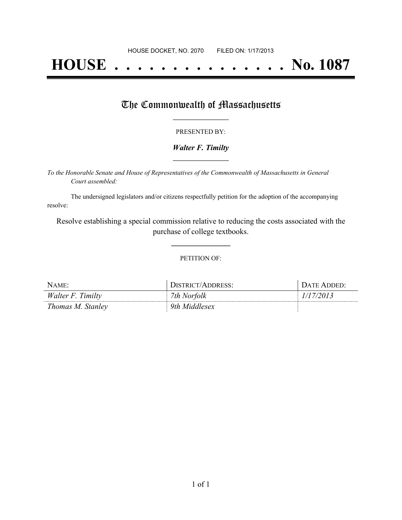# **HOUSE . . . . . . . . . . . . . . . No. 1087**

### The Commonwealth of Massachusetts

#### PRESENTED BY:

#### *Walter F. Timilty* **\_\_\_\_\_\_\_\_\_\_\_\_\_\_\_\_\_**

*To the Honorable Senate and House of Representatives of the Commonwealth of Massachusetts in General Court assembled:*

The undersigned legislators and/or citizens respectfully petition for the adoption of the accompanying resolve:

Resolve establishing a special commission relative to reducing the costs associated with the purchase of college textbooks.

**\_\_\_\_\_\_\_\_\_\_\_\_\_\_\_**

#### PETITION OF:

| NAME:             | DISTRICT/ADDRESS: | DATE ADDED' |
|-------------------|-------------------|-------------|
| Walter F. Timilty | 7th Norfolk       | 1/17/2013   |
| Thomas M. Stanley | 9th Middlesex     |             |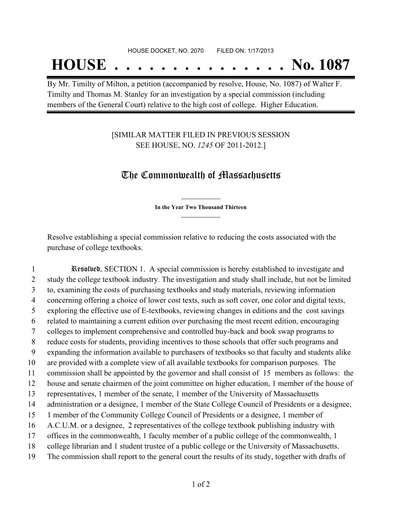## **HOUSE . . . . . . . . . . . . . . . No. 1087**

By Mr. Timilty of Milton, a petition (accompanied by resolve, House, No. 1087) of Walter F. Timilty and Thomas M. Stanley for an investigation by a special commission (including members of the General Court) relative to the high cost of college. Higher Education.

### [SIMILAR MATTER FILED IN PREVIOUS SESSION SEE HOUSE, NO. *1245* OF 2011-2012.]

## The Commonwealth of Massachusetts

**\_\_\_\_\_\_\_\_\_\_\_\_\_\_\_ In the Year Two Thousand Thirteen \_\_\_\_\_\_\_\_\_\_\_\_\_\_\_**

Resolve establishing a special commission relative to reducing the costs associated with the purchase of college textbooks.

 Resolved, SECTION 1. A special commission is hereby established to investigate and study the college textbook industry. The investigation and study shall include, but not be limited to, examining the costs of purchasing textbooks and study materials, reviewing information concerning offering a choice of lower cost texts, such as soft cover, one color and digital texts, exploring the effective use of E-textbooks, reviewing changes in editions and the cost savings related to maintaining a current edition over purchasing the most recent edition, encouraging colleges to implement comprehensive and controlled buy-back and book swap programs to reduce costs for students, providing incentives to those schools that offer such programs and expanding the information available to purchasers of textbooks so that faculty and students alike are provided with a complete view of all available textbooks for comparison purposes. The commission shall be appointed by the governor and shall consist of 15 members as follows: the house and senate chairmen of the joint committee on higher education, 1 member of the house of representatives, 1 member of the senate, 1 member of the University of Massachusetts administration or a designee, 1 member of the State College Council of Presidents or a designee, 1 member of the Community College Council of Presidents or a designee, 1 member of A.C.U.M. or a designee, 2 representatives of the college textbook publishing industry with offices in the commonwealth, 1 faculty member of a public college of the commonwealth, 1 college librarian and 1 student trustee of a public college or the University of Massachusetts. The commission shall report to the general court the results of its study, together with drafts of